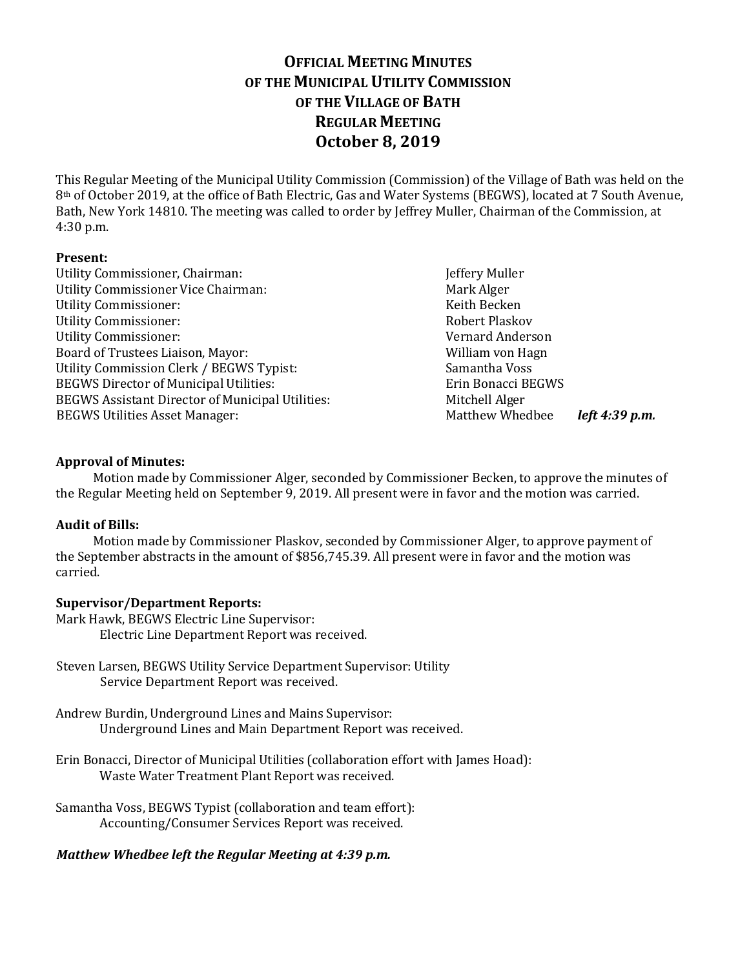# **OFFICIAL MEETING MINUTES OF THE MUNICIPAL UTILITY COMMISSION OF THE VILLAGE OF BATH REGULAR MEETING October 8, 2019**

This Regular Meeting of the Municipal Utility Commission (Commission) of the Village of Bath was held on the 8th of October 2019, at the office of Bath Electric, Gas and Water Systems (BEGWS), located at 7 South Avenue, Bath, New York 14810. The meeting was called to order by Jeffrey Muller, Chairman of the Commission, at 4:30 p.m.

# **Present:**

Utility Commissioner, Chairman: Jeffery Muller Utility Commissioner Vice Chairman: Mark Alger Utility Commissioner: The Commissioner of the Commissioner of the Commissioner of the Commissioner of the Commissioner of the Commissioner of the Commissioner of the Commissioner of the Commissioner of the Commissioner of Utility Commissioner: The Commissioner School and The Robert Plaskov Robert Plaskov Utility Commissioner: Vernard Anderson Board of Trustees Liaison, Mayor: William von Hagn Utility Commission Clerk / BEGWS Typist: Samantha Voss BEGWS Director of Municipal Utilities: Erin Bonacci BEGWS BEGWS Assistant Director of Municipal Utilities: Mitchell Alger BEGWS Utilities Asset Manager: Matthew Whedbee *left 4:39 p.m.* 

## **Approval of Minutes:**

Motion made by Commissioner Alger, seconded by Commissioner Becken, to approve the minutes of the Regular Meeting held on September 9, 2019. All present were in favor and the motion was carried.

# **Audit of Bills:**

Motion made by Commissioner Plaskov, seconded by Commissioner Alger, to approve payment of the September abstracts in the amount of \$856,745.39. All present were in favor and the motion was carried.

## **Supervisor/Department Reports:**

Mark Hawk, BEGWS Electric Line Supervisor: Electric Line Department Report was received.

- Steven Larsen, BEGWS Utility Service Department Supervisor: Utility Service Department Report was received.
- Andrew Burdin, Underground Lines and Mains Supervisor: Underground Lines and Main Department Report was received.
- Erin Bonacci, Director of Municipal Utilities (collaboration effort with James Hoad): Waste Water Treatment Plant Report was received.

Samantha Voss, BEGWS Typist (collaboration and team effort): Accounting/Consumer Services Report was received.

# *Matthew Whedbee left the Regular Meeting at 4:39 p.m.*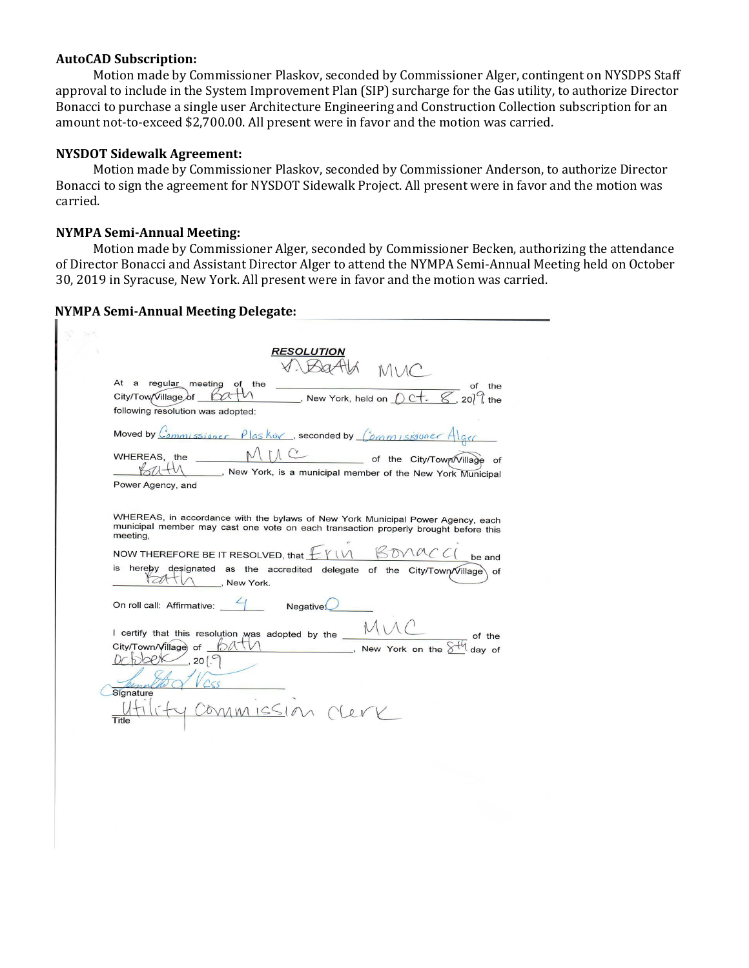#### **AutoCAD Subscription:**

Motion made by Commissioner Plaskov, seconded by Commissioner Alger, contingent on NYSDPS Staff approval to include in the System Improvement Plan (SIP) surcharge for the Gas utility, to authorize Director Bonacci to purchase a single user Architecture Engineering and Construction Collection subscription for an amount not-to-exceed \$2,700.00. All present were in favor and the motion was carried.

## **NYSDOT Sidewalk Agreement:**

Motion made by Commissioner Plaskov, seconded by Commissioner Anderson, to authorize Director Bonacci to sign the agreement for NYSDOT Sidewalk Project. All present were in favor and the motion was carried.

#### **NYMPA Semi-Annual Meeting:**

Motion made by Commissioner Alger, seconded by Commissioner Becken, authorizing the attendance of Director Bonacci and Assistant Director Alger to attend the NYMPA Semi-Annual Meeting held on October 30, 2019 in Syracuse, New York. All present were in favor and the motion was carried.

| <b>RESOLUTION</b>                                                                                                                                                                                            |
|--------------------------------------------------------------------------------------------------------------------------------------------------------------------------------------------------------------|
| At a regular meeting of the<br>of the<br>New York, held on $0 \text{ C}$ . $\mathscr{C}$ , 20 <sup>7</sup> the<br>City/Tow/Village of <b>CO</b><br>following resolution was adopted:                         |
| Moved by $C_{ommissiser}$ $\rho$ las kov, seconded by $(\rho_{mm}$ is given $A$                                                                                                                              |
| of the City/Town/Village of<br>WHEREAS, the<br>New York, is a municipal member of the New York Municipal<br>Power Agency, and                                                                                |
| WHEREAS, in accordance with the bylaws of New York Municipal Power Agency, each<br>municipal member may cast one vote on each transaction properly brought before this<br>meeting,                           |
| NOW THEREFORE BE IT RESOLVED, that $\mathcal{L}$ $\mathcal{V}$<br>be and<br>is hereby designated as the accredited delegate of the City/Town/Village of<br>New York.                                         |
| On roll call: Affirmative: $\frac{4}{1}$ Negative.                                                                                                                                                           |
| I certify that this resolution was adopted by the<br>of the<br>City/Town/Village of $\mathcal{O}(\sqrt{1/\sqrt{1-\frac{1}{n}}})$<br>$\blacksquare$ New York on the $\delta$<br>day of<br>, 20 $\binom{6}{7}$ |
| Signature<br>MMMISSIMC                                                                                                                                                                                       |
| Title                                                                                                                                                                                                        |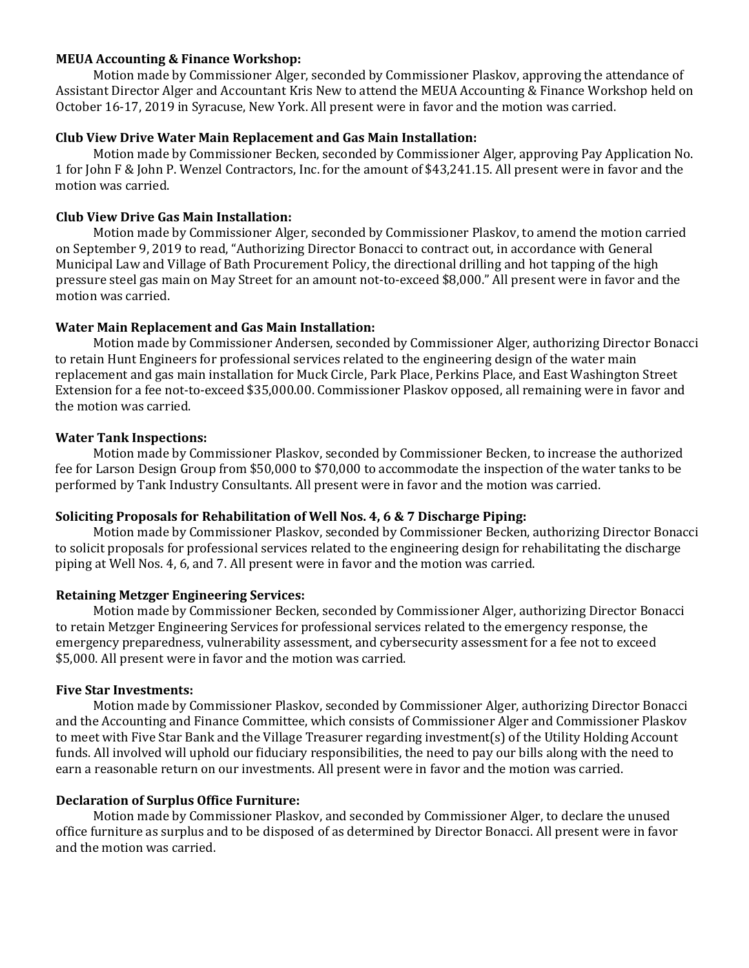## **MEUA Accounting & Finance Workshop:**

Motion made by Commissioner Alger, seconded by Commissioner Plaskov, approving the attendance of Assistant Director Alger and Accountant Kris New to attend the MEUA Accounting & Finance Workshop held on October 16-17, 2019 in Syracuse, New York. All present were in favor and the motion was carried.

## **Club View Drive Water Main Replacement and Gas Main Installation:**

Motion made by Commissioner Becken, seconded by Commissioner Alger, approving Pay Application No. 1 for John F & John P. Wenzel Contractors, Inc. for the amount of \$43,241.15. All present were in favor and the motion was carried.

## **Club View Drive Gas Main Installation:**

Motion made by Commissioner Alger, seconded by Commissioner Plaskov, to amend the motion carried on September 9, 2019 to read, "Authorizing Director Bonacci to contract out, in accordance with General Municipal Law and Village of Bath Procurement Policy, the directional drilling and hot tapping of the high pressure steel gas main on May Street for an amount not-to-exceed \$8,000." All present were in favor and the motion was carried.

#### **Water Main Replacement and Gas Main Installation:**

Motion made by Commissioner Andersen, seconded by Commissioner Alger, authorizing Director Bonacci to retain Hunt Engineers for professional services related to the engineering design of the water main replacement and gas main installation for Muck Circle, Park Place, Perkins Place, and East Washington Street Extension for a fee not-to-exceed \$35,000.00. Commissioner Plaskov opposed, all remaining were in favor and the motion was carried.

## **Water Tank Inspections:**

Motion made by Commissioner Plaskov, seconded by Commissioner Becken, to increase the authorized fee for Larson Design Group from \$50,000 to \$70,000 to accommodate the inspection of the water tanks to be performed by Tank Industry Consultants. All present were in favor and the motion was carried.

#### **Soliciting Proposals for Rehabilitation of Well Nos. 4, 6 & 7 Discharge Piping:**

Motion made by Commissioner Plaskov, seconded by Commissioner Becken, authorizing Director Bonacci to solicit proposals for professional services related to the engineering design for rehabilitating the discharge piping at Well Nos. 4, 6, and 7. All present were in favor and the motion was carried.

## **Retaining Metzger Engineering Services:**

Motion made by Commissioner Becken, seconded by Commissioner Alger, authorizing Director Bonacci to retain Metzger Engineering Services for professional services related to the emergency response, the emergency preparedness, vulnerability assessment, and cybersecurity assessment for a fee not to exceed \$5,000. All present were in favor and the motion was carried.

#### **Five Star Investments:**

Motion made by Commissioner Plaskov, seconded by Commissioner Alger, authorizing Director Bonacci and the Accounting and Finance Committee, which consists of Commissioner Alger and Commissioner Plaskov to meet with Five Star Bank and the Village Treasurer regarding investment(s) of the Utility Holding Account funds. All involved will uphold our fiduciary responsibilities, the need to pay our bills along with the need to earn a reasonable return on our investments. All present were in favor and the motion was carried.

## **Declaration of Surplus Office Furniture:**

Motion made by Commissioner Plaskov, and seconded by Commissioner Alger, to declare the unused office furniture as surplus and to be disposed of as determined by Director Bonacci. All present were in favor and the motion was carried.